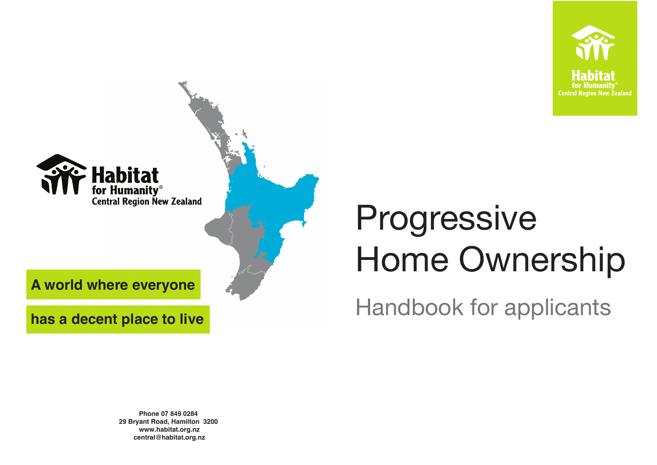**Phone 07 849 0284 29 Bryant Road, Hamilton 3200 www.habitat.org.nz central@habitat.org.nz**



# Progressive Home Ownership Handbook for applicants



**has a decent place to live**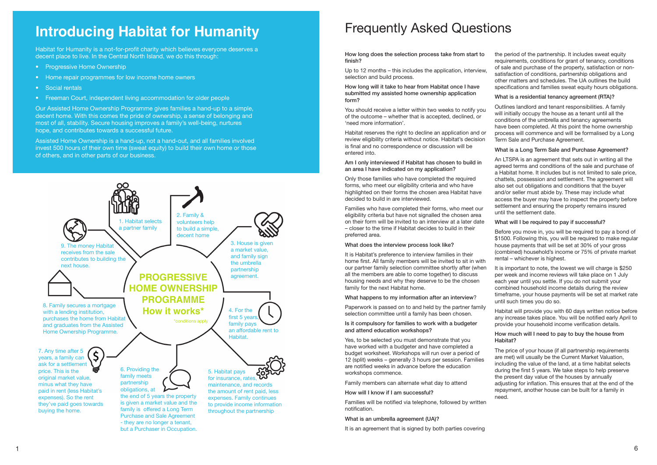Habitat for Humanity is a not-for-profit charity which believes everyone deserves a decent place to live. In the Central North Island, we do this through:

- Progressive Home Ownership
- Home repair programmes for low income home owners
- Social rentals
- Freeman Court, independent living accommodation for older people

Our Assisted Home Ownership Programme gives families a hand-up to a simple, decent home. With this comes the pride of ownership, a sense of belonging and most of all, stability. Secure housing improves a family's well-being, nurtures hope, and contributes towards a successful future.

Assisted Home Ownership is a hand-up, not a hand-out, and all families involved invest 500 hours of their own time (sweat equity) to build their own home or those of others, and in other parts of our business.

## **Introducing Habitat for Humanity**



How long does the selection process take from start to finish?

Up to 12 months – this includes the application, interview, selection and build process.

How long will it take to hear from Habitat once I have submitted my assisted home ownership application form?

You should receive a letter within two weeks to notify you of the outcome – whether that is accepted, declined, or 'need more information'.

Habitat reserves the right to decline an application and or review eligibility criteria without notice. Habitat's decision is final and no correspondence or discussion will be entered into.

Am I only interviewed if Habitat has chosen to build in an area I have indicated on my application?

Only those families who have completed the required forms, who meet our eligibility criteria and who have highlighted on their forms the chosen area Habitat have decided to build in are interviewed.

Families who have completed their forms, who meet our eligibility criteria but have not signalled the chosen area on their form will be invited to an interview at a later date – closer to the time if Habitat decides to build in their preferred area.

What does the interview process look like?

The price of your house (if all partnership requirements are met) will usually be the Current Market Valuation, including the value of the land, at a time habitat selects during the first 5 years. We take steps to help preserve the present day value of the houses by annually adjusting for inflation. This ensures that at the end of the repayment, another house can be built for a family in need.

It is Habitat's preference to interview families in their home first. All family members will be invited to sit in with our partner family selection committee shortly after (when all the members are able to come together) to discuss housing needs and why they deserve to be the chosen family for the next Habitat home.

What happens to my information after an interview?

Paperwork is passed on to and held by the partner family selection committee until a family has been chosen.

Is it compulsory for families to work with a budgeter and attend education workshops?

Yes, to be selected you must demonstrate that you have worked with a budgeter and have completed a budget worksheet. Workshops will run over a period of 12 (split) weeks – generally 3 hours per session. Families are notified weeks in advance before the education workshops commence.

Family members can alternate what day to attend

How will I know if I am successful?

Families will be notified via telephone, followed by written notification.

#### What is an umbrella agreement (UA)?

It is an agreement that is signed by both parties covering

the period of the partnership. It includes sweat equity requirements, conditions for grant of tenancy, conditions of sale and purchase of the property, satisfaction or nonsatisfaction of conditions, partnership obligations and other matters and schedules. The UA outlines the build specifications and families sweat equity hours obligations.

#### What is a residential tenancy agreement (RTA)?

Outlines landlord and tenant responsibilities. A family will initially occupy the house as a tenant until all the conditions of the umbrella and tenancy agreements have been completed. At this point the home ownership process will commence and will be formalised by a Long Term Sale and Purchase Agreement.

#### What is a Long Term Sale and Purchase Agreement?

An LTSPA is an agreement that sets out in writing all the agreed terms and conditions of the sale and purchase of a Habitat home. It includes but is not limited to sale price, chattels, possession and settlement. The agreement will also set out obligations and conditions that the buyer and/or seller must abide by. These may include what access the buyer may have to inspect the property before settlement and ensuring the property remains insured until the settlement date.

#### What will I be required to pay if successful?

Before you move in, you will be required to pay a bond of \$1500. Following this, you will be required to make regular house payments that will be set at 30% of your gross (combined) household's income or 75% of private market rental – whichever is highest.

It is important to note, the lowest we will charge is \$250 per week and income reviews will take place on 1 July each year until you settle. If you do not submit your combined household income details during the review timeframe, your house payments will be set at market rate until such times you do so.

Habitat will provide you with 60 days written notice before any increase takes place. You will be notified early April to provide your household income verification details.

#### How much will I need to pay to buy the house from Habitat?

### Frequently Asked Questions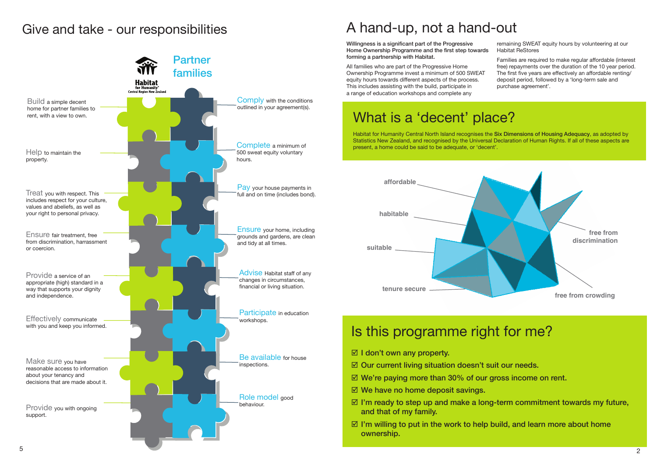### Give and take - our responsibilities



Willingness is a significant part of the Progressive Home Ownership Programme and the first step towards forming a partnership with Habitat. remaining SWEAT equity hours by volunteering at our Habitat ReStores

- $\boxtimes$  I don't own any property.
- $\boxtimes$  Our current living situation doesn't suit our needs.
- $\boxtimes$  We're paying more than 30% of our gross income on rent.
- $\boxtimes$  We have no home deposit savings.
- $\boxtimes$  I'm ready to step up and make a long-term commitment towards my future, and that of my family.
- $\boxtimes$  I'm willing to put in the work to help build, and learn more about home ownership.

All families who are part of the Progressive Home Ownership Programme invest a minimum of 500 SWEAT equity hours towards different aspects of the process. This includes assisting with the build, participate in a range of education workshops and complete any

Families are required to make regular affordable (interest free) repayments over the duration of the 10 year period. The first five years are effectively an affordable renting/ deposit period, followed by a 'long-term sale and purchase agreement'.

### A hand-up, not a hand-out



Habitat for Humanity Central North Island recognises the Six Dimensions of Housing Adequacy, as adopted by Statistics New Zealand, and recognised by the Universal Declaration of Human Rights. If all of these aspects are present, a home could be said to be adequate, or 'decent'.

# What is a 'decent' place?

# Is this programme right for me?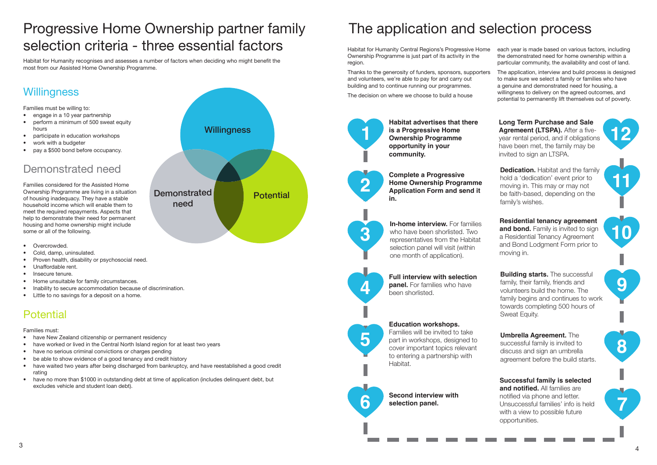# The application and selection process

Habitat for Humanity Central Regions's Progressive Home Ownership Programme is just part of its activity in the region. each year is made based on various factors, including the demonstrated need for home ownership within a particular community, the availability and cost of land.

Thanks to the generosity of funders, sponsors, supporters and volunteers, we're able to pay for and carry out building and to continue running our programmes. The decision on where we choose to build a house The application, interview and build process is designed to make sure we select a family or families who have a genuine and demonstrated need for housing, a willingness to delivery on the agreed outcomes, and potential to permanently lift themselves out of poverty.

**In-home interview.** For families who have been shorlisted. Two representatives from the Habitat selection panel will visit (within one month of application).

**Complete a Progressive Home Ownership Programme Application Form and send it in.**









**5**

**6**

**Building starts.** The successful family, their family, friends and volunteers build the home. The family begins and continues to work towards completing 500 hours of Sweat Equity.

**Habitat advertises that there is a Progressive Home Ownership Programme opportunity in your community.**

> **Dedication.** Habitat and the family hold a 'dedication' event prior to moving in. This may or may not be faith-based, depending on the family's wishes.

**Full interview with selection panel.** For families who have been shorlisted.

#### **Education workshops.**

Families will be invited to take part in workshops, designed to cover important topics relevant to entering a partnership with Habitat.

**Second interview with selection panel.** 

**Successful family is selected and notified.** All families are notified via phone and letter. Unsuccessful families' info is held with a view to possible future opportunities.

**Umbrella Agreement.** The successful family is invited to discuss and sign an umbrella agreement before the build starts.

**Residential tenancy agreement and bond.** Family is invited to sign a Residential Tenancy Agreement and Bond Lodgment Form prior to moving in.

- have New Zealand citizenship or permanent residency
- have worked or lived in the Central North Island region for at least two years
- have no serious criminal convictions or charges pending
- be able to show evidence of a good tenancy and credit history
- have waited two years after being discharged from bankruptcy, and have reestablished a good credit rating
- have no more than \$1000 in outstanding debt at time of application (includes delinquent debt, but excludes vehicle and student loan debt).

**Long Term Purchase and Sale Agremeent (LTSPA).** After a fiveyear rental period, and if obligations have been met, the family may be invited to sign an LTSPA.



# Progressive Home Ownership partner family selection criteria - three essential factors



Habitat for Humanity recognises and assesses a number of factors when deciding who might benefit the most from our Assisted Home Ownership Programme.

### **Willingness**

Families must be willing to:

- engage in a 10 year partnership
- perform a minimum of 500 sweat equity hours
- participate in education workshops
- work with a budgeter
- pay a \$500 bond before occupancy.

### Demonstrated need

Families considered for the Assisted Home Ownership Programme are living in a situation of housing inadequacy. They have a stable household income which will enable them to meet the required repayments. Aspects that help to demonstrate their need for permanent housing and home ownership might include some or all of the following.

- Overcrowded.
- Cold, damp, uninsulated.
- Proven health, disability or psychosocial need.
- Unaffordable rent.
- Insecure tenure.
- Home unsuitable for family circumstances.
- Inability to secure accommodation because of discrimination.
- Little to no savings for a deposit on a home.

### **Potential**

Families must: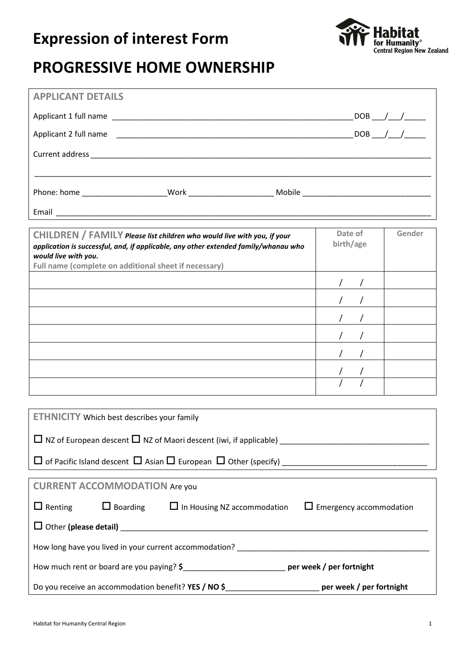### **Expression of interest Form**



### **PROGRESSIVE HOME OWNERSHIP**

| <b>APPLICANT DETAILS</b>                                                                                    |                         |        |  |  |  |
|-------------------------------------------------------------------------------------------------------------|-------------------------|--------|--|--|--|
|                                                                                                             | $-$ DOB $-$ / $-$ / $-$ |        |  |  |  |
|                                                                                                             |                         |        |  |  |  |
|                                                                                                             |                         |        |  |  |  |
|                                                                                                             |                         |        |  |  |  |
|                                                                                                             |                         |        |  |  |  |
|                                                                                                             |                         |        |  |  |  |
|                                                                                                             |                         |        |  |  |  |
| CHILDREN / FAMILY Please list children who would live with you, if your                                     | Date of<br>birth/age    | Gender |  |  |  |
| application is successful, and, if applicable, any other extended family/whanau who<br>would live with you. |                         |        |  |  |  |
| Full name (complete on additional sheet if necessary)                                                       |                         |        |  |  |  |
|                                                                                                             |                         |        |  |  |  |
|                                                                                                             |                         |        |  |  |  |
|                                                                                                             |                         |        |  |  |  |
|                                                                                                             |                         |        |  |  |  |
|                                                                                                             |                         |        |  |  |  |
|                                                                                                             |                         |        |  |  |  |
|                                                                                                             |                         |        |  |  |  |
|                                                                                                             |                         |        |  |  |  |
| <b>ETHNICITY</b> Which best describes your family                                                           |                         |        |  |  |  |
|                                                                                                             |                         |        |  |  |  |
|                                                                                                             |                         |        |  |  |  |
|                                                                                                             |                         |        |  |  |  |
| <b>CURRENT ACCOMMODATION Are you</b>                                                                        |                         |        |  |  |  |
| $\Box$ Renting<br>$\Box$ Boarding $\Box$ In Housing NZ accommodation $\Box$ Emergency accommodation         |                         |        |  |  |  |
|                                                                                                             |                         |        |  |  |  |
|                                                                                                             |                         |        |  |  |  |
|                                                                                                             |                         |        |  |  |  |
| How much rent or board are you paying? \$_______________________________ per week / per fortnight           |                         |        |  |  |  |
| Do you receive an accommodation benefit? YES / NO \$__________________________ per week / per fortnight     |                         |        |  |  |  |